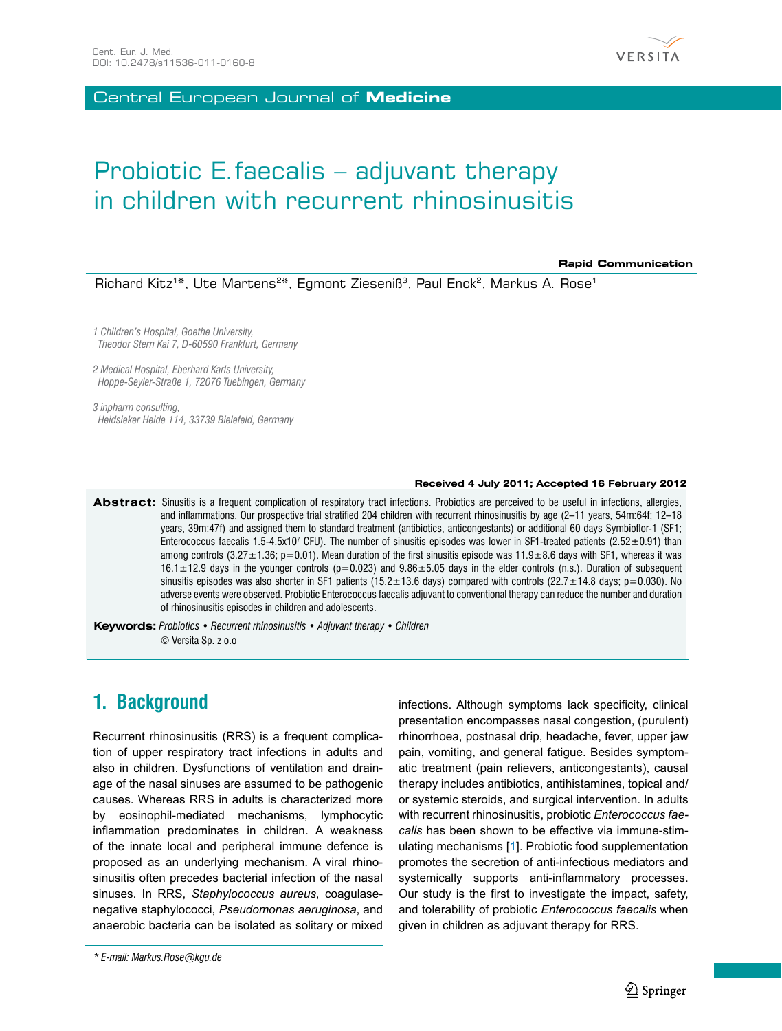

Central European Journal of **Medicine**

# Probiotic E.faecalis – adjuvant therapy in children with recurrent rhinosinusitis

**Rapid Communication**

Richard Kitz<sup>1\*</sup>, Ute Martens<sup>2\*</sup>, Egmont Zieseniß<sup>3</sup>, Paul Enck<sup>2</sup>, Markus A. Rose<sup>1</sup>

*1 Children's Hospital, Goethe University, Theodor Stern Kai 7, D-60590 Frankfurt, Germany*

*2 Medical Hospital, Eberhard Karls University, Hoppe-Seyler-Straße 1, 72076 Tuebingen, Germany*

*3 inpharm consulting, Heidsieker Heide 114, 33739 Bielefeld, Germany*

#### **Received 4 July 2011; Accepted 16 February 2012**

Abstract: Sinusitis is a frequent complication of respiratory tract infections. Probiotics are perceived to be useful in infections, allergies, and inflammations. Our prospective trial stratified 204 children with recurrent rhinosinusitis by age (2–11 years, 54m:64f; 12–18 years, 39m:47f) and assigned them to standard treatment (antibiotics, anticongestants) or additional 60 days Symbioflor-1 (SF1; Enterococcus faecalis 1.5-4.5x10<sup>7</sup> CFU). The number of sinusitis episodes was lower in SF1-treated patients (2.52±0.91) than among controls (3.27 $\pm$ 1.36; p=0.01). Mean duration of the first sinusitis episode was 11.9 $\pm$ 8.6 days with SF1, whereas it was 16.1±12.9 days in the younger controls (p=0.023) and 9.86±5.05 days in the elder controls (n.s.). Duration of subsequent sinusitis episodes was also shorter in SF1 patients (15.2 $\pm$ 13.6 days) compared with controls (22.7 $\pm$ 14.8 days; p=0.030). No adverse events were observed. Probiotic Enterococcus faecalis adjuvant to conventional therapy can reduce the number and duration of rhinosinusitis episodes in children and adolescents.

© Versita Sp. z o.o **Keywords:** *Probiotics • Recurrent rhinosinusitis • Adjuvant therapy • Children*

## **1. Background**

Recurrent rhinosinusitis (RRS) is a frequent complication of upper respiratory tract infections in adults and also in children. Dysfunctions of ventilation and drainage of the nasal sinuses are assumed to be pathogenic causes. Whereas RRS in adults is characterized more by eosinophil-mediated mechanisms, lymphocytic inflammation predominates in children. A weakness of the innate local and peripheral immune defence is proposed as an underlying mechanism. A viral rhinosinusitis often precedes bacterial infection of the nasal sinuses. In RRS, *Staphylococcus aureus*, coagulasenegative staphylococci, *Pseudomonas aeruginosa*, and anaerobic bacteria can be isolated as solitary or mixed

infections. Although symptoms lack specificity, clinical presentation encompasses nasal congestion, (purulent) rhinorrhoea, postnasal drip, headache, fever, upper jaw pain, vomiting, and general fatigue. Besides symptomatic treatment (pain relievers, anticongestants), causal therapy includes antibiotics, antihistamines, topical and/ or systemic steroids, and surgical intervention. In adults with recurrent rhinosinusitis, probiotic *Enterococcus faecalis* has been shown to be effective via immune-stimulating mechanisms [\[1](#page--1-0)]. Probiotic food supplementation promotes the secretion of anti-infectious mediators and systemically supports anti-inflammatory processes. Our study is the first to investigate the impact, safety, and tolerability of probiotic *Enterococcus faecalis* when given in children as adjuvant therapy for RRS.

*<sup>\*</sup> E-mail: Markus.Rose@kgu.de*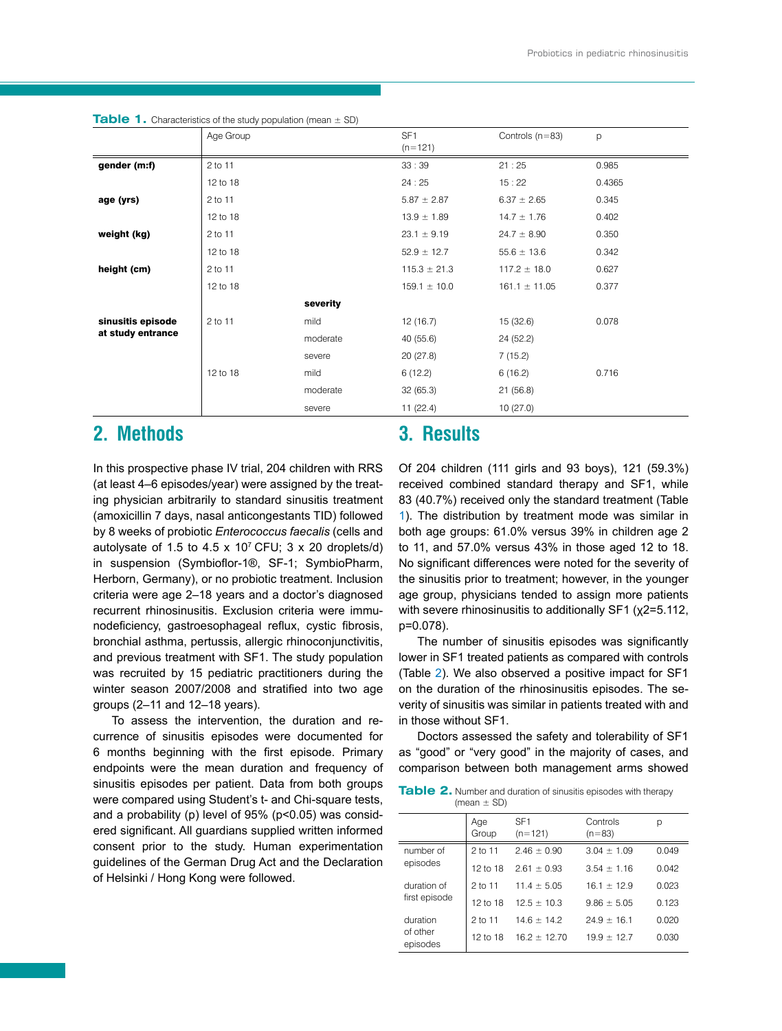|                                        | Age Group |          | SF <sub>1</sub><br>$(n=121)$ | Controls $(n=83)$ | p      |
|----------------------------------------|-----------|----------|------------------------------|-------------------|--------|
| gender (m:f)                           | 2 to 11   |          | 33:39                        | 21:25             | 0.985  |
|                                        | 12 to 18  |          | 24:25                        | 15:22             | 0.4365 |
| age (yrs)                              | 2 to 11   |          | $5.87 \pm 2.87$              | $6.37 \pm 2.65$   | 0.345  |
|                                        | 12 to 18  |          | $13.9 \pm 1.89$              | $14.7 \pm 1.76$   | 0.402  |
| weight (kg)                            | 2 to 11   |          | $23.1 \pm 9.19$              | $24.7 \pm 8.90$   | 0.350  |
|                                        | 12 to 18  |          | $52.9 \pm 12.7$              | $55.6 \pm 13.6$   | 0.342  |
| height (cm)                            | 2 to 11   |          | $115.3 \pm 21.3$             | $117.2 \pm 18.0$  | 0.627  |
|                                        | 12 to 18  |          | $159.1 \pm 10.0$             | $161.1 \pm 11.05$ | 0.377  |
|                                        |           | severity |                              |                   |        |
| sinusitis episode<br>at study entrance | 2 to 11   | mild     | 12(16.7)                     | 15 (32.6)         | 0.078  |
|                                        |           | moderate | 40(55.6)                     | 24 (52.2)         |        |
|                                        |           | severe   | 20 (27.8)                    | 7(15.2)           |        |
|                                        | 12 to 18  | mild     | 6(12.2)                      | 6(16.2)           | 0.716  |
|                                        |           | moderate | 32(65.3)                     | 21(56.8)          |        |
|                                        |           | severe   | 11(22.4)                     | 10(27.0)          |        |

**Table 1.** Characteristics of the study population (mean  $\pm$  SD)

#### **2. Methods**

In this prospective phase IV trial, 204 children with RRS (at least 4–6 episodes/year) were assigned by the treating physician arbitrarily to standard sinusitis treatment (amoxicillin 7 days, nasal anticongestants TID) followed by 8 weeks of probiotic *Enterococcus faecalis* (cells and autolysate of 1.5 to 4.5 x 10<sup>7</sup> CFU; 3 x 20 droplets/d) in suspension (Symbioflor-1®, SF-1; SymbioPharm, Herborn, Germany), or no probiotic treatment. Inclusion criteria were age 2–18 years and a doctor's diagnosed recurrent rhinosinusitis. Exclusion criteria were immunodeficiency, gastroesophageal reflux, cystic fibrosis, bronchial asthma, pertussis, allergic rhinoconjunctivitis, and previous treatment with SF1. The study population was recruited by 15 pediatric practitioners during the winter season 2007/2008 and stratified into two age groups (2–11 and 12–18 years).

To assess the intervention, the duration and recurrence of sinusitis episodes were documented for 6 months beginning with the first episode. Primary endpoints were the mean duration and frequency of sinusitis episodes per patient. Data from both groups were compared using Student's t- and Chi-square tests, and a probability (p) level of 95% (p<0.05) was considered significant. All guardians supplied written informed consent prior to the study. Human experimentation guidelines of the German Drug Act and the Declaration of Helsinki / Hong Kong were followed.

### **3. Results**

Of 204 children (111 girls and 93 boys), 121 (59.3%) received combined standard therapy and SF1, while 83 (40.7%) received only the standard treatment (Table [1](#page--1-1)). The distribution by treatment mode was similar in both age groups: 61.0% versus 39% in children age 2 to 11, and 57.0% versus 43% in those aged 12 to 18. No significant differences were noted for the severity of the sinusitis prior to treatment; however, in the younger age group, physicians tended to assign more patients with severe rhinosinusitis to additionally SF1 (χ2=5.112, p=0.078).

The number of sinusitis episodes was significantly lower in SF1 treated patients as compared with controls (Table [2\)](#page--1-2). We also observed a positive impact for SF1 on the duration of the rhinosinusitis episodes. The severity of sinusitis was similar in patients treated with and in those without SF1.

Doctors assessed the safety and tolerability of SF1 as "good" or "very good" in the majority of cases, and comparison between both management arms showed

**Table 2.** Number and duration of sinusitis episodes with therapy (mean  $\pm$  SD)

| SF <sub>1</sub><br>$(n=121)$ | Controls<br>$(n=83)$ | р     |
|------------------------------|----------------------|-------|
| $2.46 \pm 0.90$              | $3.04 \pm 1.09$      | 0.049 |
| $2.61 \pm 0.93$              | $3.54 \pm 1.16$      | 0.042 |
| $11.4 \pm 5.05$              | $16.1 \pm 12.9$      | 0.023 |
| $12.5 \pm 10.3$              | $9.86 \pm 5.05$      | 0.123 |
| $14.6 \pm 14.2$              | $24.9 \pm 16.1$      | 0.020 |
| $16.2 \pm 12.70$             | $19.9 \pm 12.7$      | 0.030 |
|                              |                      |       |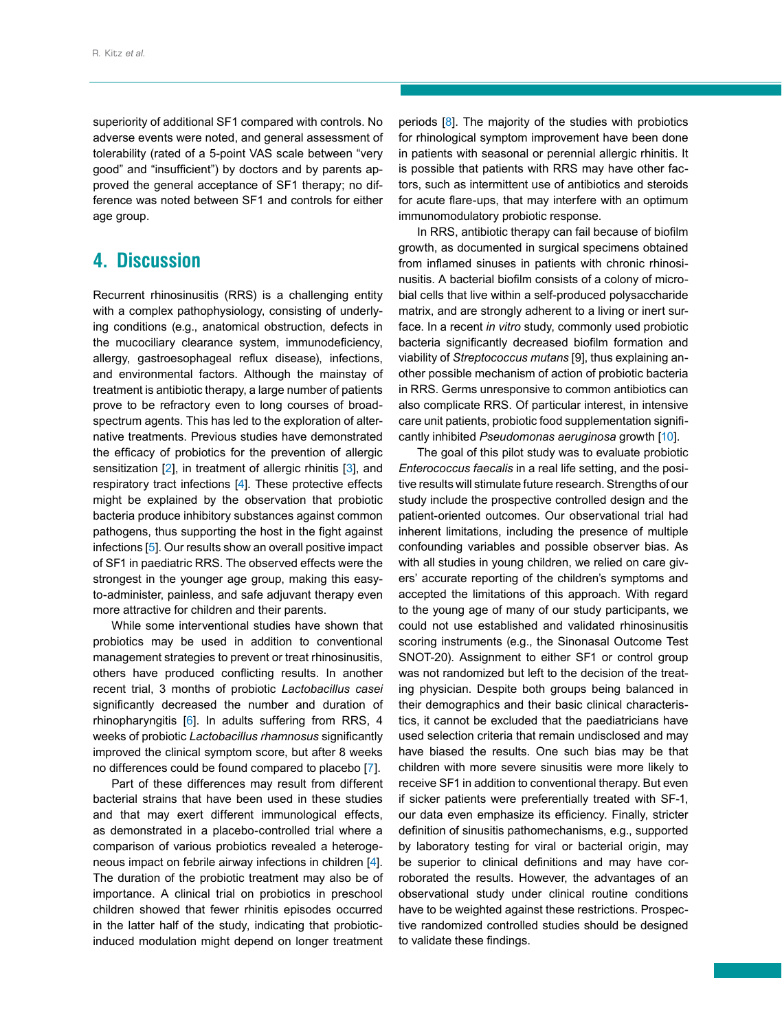superiority of additional SF1 compared with controls. No adverse events were noted, and general assessment of tolerability (rated of a 5-point VAS scale between "very good" and "insufficient") by doctors and by parents approved the general acceptance of SF1 therapy; no difference was noted between SF1 and controls for either age group.

### **4. Discussion**

Recurrent rhinosinusitis (RRS) is a challenging entity with a complex pathophysiology, consisting of underlying conditions (e.g., anatomical obstruction, defects in the mucociliary clearance system, immunodeficiency, allergy, gastroesophageal reflux disease), infections, and environmental factors. Although the mainstay of treatment is antibiotic therapy, a large number of patients prove to be refractory even to long courses of broadspectrum agents. This has led to the exploration of alternative treatments. Previous studies have demonstrated the efficacy of probiotics for the prevention of allergic sensitization [[2\]](#page--1-3), in treatment of allergic rhinitis [[3\]](#page--1-4), and respiratory tract infections [\[4](#page--1-5)]. These protective effects might be explained by the observation that probiotic bacteria produce inhibitory substances against common pathogens, thus supporting the host in the fight against infections [\[5](#page--1-6)]. Our results show an overall positive impact of SF1 in paediatric RRS. The observed effects were the strongest in the younger age group, making this easyto-administer, painless, and safe adjuvant therapy even more attractive for children and their parents.

While some interventional studies have shown that probiotics may be used in addition to conventional management strategies to prevent or treat rhinosinusitis, others have produced conflicting results. In another recent trial, 3 months of probiotic *Lactobacillus casei* significantly decreased the number and duration of rhinopharyngitis [\[6](#page--1-7)]. In adults suffering from RRS, 4 weeks of probiotic *Lactobacillus rhamnosus* significantly improved the clinical symptom score, but after 8 weeks no differences could be found compared to placebo [[7](#page--1-8)].

Part of these differences may result from different bacterial strains that have been used in these studies and that may exert different immunological effects, as demonstrated in a placebo-controlled trial where a comparison of various probiotics revealed a heterogeneous impact on febrile airway infections in children [[4\]](#page--1-5). The duration of the probiotic treatment may also be of importance. A clinical trial on probiotics in preschool children showed that fewer rhinitis episodes occurred in the latter half of the study, indicating that probioticinduced modulation might depend on longer treatment

periods [\[8](#page--1-9)]. The majority of the studies with probiotics for rhinological symptom improvement have been done in patients with seasonal or perennial allergic rhinitis. It is possible that patients with RRS may have other factors, such as intermittent use of antibiotics and steroids for acute flare-ups, that may interfere with an optimum immunomodulatory probiotic response.

In RRS, antibiotic therapy can fail because of biofilm growth, as documented in surgical specimens obtained from inflamed sinuses in patients with chronic rhinosinusitis. A bacterial biofilm consists of a colony of microbial cells that live within a self-produced polysaccharide matrix, and are strongly adherent to a living or inert surface. In a recent *in vitro* study, commonly used probiotic bacteria significantly decreased biofilm formation and viability of *Streptococcus mutans* [9], thus explaining another possible mechanism of action of probiotic bacteria in RRS. Germs unresponsive to common antibiotics can also complicate RRS. Of particular interest, in intensive care unit patients, probiotic food supplementation significantly inhibited *Pseudomonas aeruginosa* growth [[10](#page--1-10)].

The goal of this pilot study was to evaluate probiotic *Enterococcus faecalis* in a real life setting, and the positive results will stimulate future research. Strengths of our study include the prospective controlled design and the patient-oriented outcomes. Our observational trial had inherent limitations, including the presence of multiple confounding variables and possible observer bias. As with all studies in young children, we relied on care givers' accurate reporting of the children's symptoms and accepted the limitations of this approach. With regard to the young age of many of our study participants, we could not use established and validated rhinosinusitis scoring instruments (e.g., the Sinonasal Outcome Test SNOT-20). Assignment to either SF1 or control group was not randomized but left to the decision of the treating physician. Despite both groups being balanced in their demographics and their basic clinical characteristics, it cannot be excluded that the paediatricians have used selection criteria that remain undisclosed and may have biased the results. One such bias may be that children with more severe sinusitis were more likely to receive SF1 in addition to conventional therapy. But even if sicker patients were preferentially treated with SF-1, our data even emphasize its efficiency. Finally, stricter definition of sinusitis pathomechanisms, e.g., supported by laboratory testing for viral or bacterial origin, may be superior to clinical definitions and may have corroborated the results. However, the advantages of an observational study under clinical routine conditions have to be weighted against these restrictions. Prospective randomized controlled studies should be designed to validate these findings.